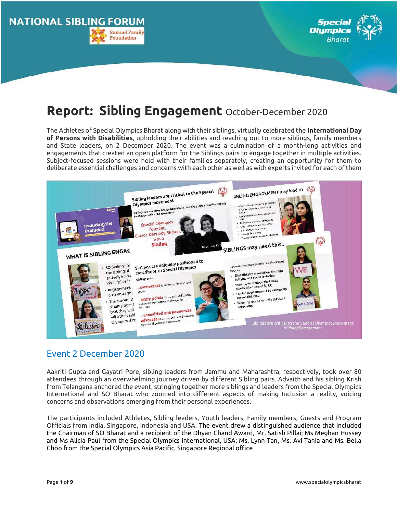



# Report: Sibling Engagement October-December 2020

The Athletes of Special Olympics Bharat along with their siblings, virtually celebrated the International Day of Persons with Disabilities, upholding their abilities and reaching out to more siblings, family members and State leaders, on 2 December 2020. The event was a culmination of a month-long activities and engagements that created an open platform for the Siblings pairs to engage together in multiple activities. Subject-focused sessions were held with their families separately, creating an opportunity for them to deliberate essential challenges and concerns with each other as well as with experts invited for each of them



# Event 2 December 2020

Aakriti Gupta and Gayatri Pore, sibling leaders from Jammu and Maharashtra, respectively, took over 80 attendees through an overwhelming journey driven by different Sibling pairs. Advaith and his sibling Krish from Telangana anchored the event, stringing together more siblings and leaders from the Special Olympics International and SO Bharat who zoomed into different aspects of making Inclusion a reality, voicing concerns and observations emerging from their personal experiences.

The participants included Athletes, Sibling leaders, Youth leaders, Family members, Guests and Program Officials from India, Singapore, Indonesia and USA. The event drew a distinguished audience that included the Chairman of SO Bharat and a recipient of the Dhyan Chand Award, Mr. Satish Pillai; Ms Meghan Hussey and Ms Alicia Paul from the Special Olympics international, USA; Ms. Lynn Tan, Ms. Avi Tania and Ms. Bella Choo from the Special Olympics Asia Pacific, Singapore Regional office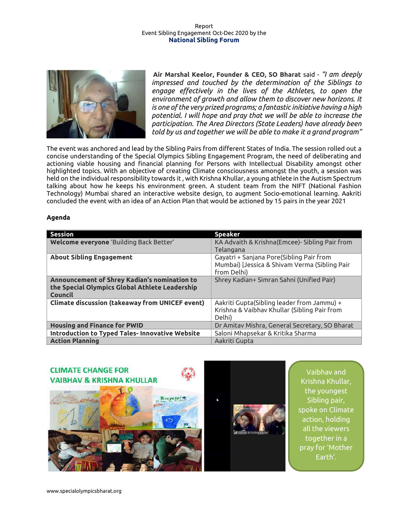![](_page_1_Picture_1.jpeg)

Air Marshal Keelor, Founder & CEO, SO Bharat said - "I am deeply impressed and touched by the determination of the Siblings to engage effectively in the lives of the Athletes, to open the environment of growth and allow them to discover new horizons. It is one of the very prized programs; a fantastic initiative having a high potential. I will hope and pray that we will be able to increase the participation. The Area Directors (State Leaders) have already been told by us and together we will be able to make it a grand program"

The event was anchored and lead by the Sibling Pairs from different States of India. The session rolled out a concise understanding of the Special Olympics Sibling Engagement Program, the need of deliberating and actioning viable housing and financial planning for Persons with Intellectual Disability amongst other highlighted topics. With an objective of creating Climate consciousness amongst the youth, a session was held on the individual responsibility towards it , with Krishna Khullar, a young athlete in the Autism Spectrum talking about how he keeps his environment green. A student team from the NIFT (National Fashion Technology) Mumbai shared an interactive website design, to augment Socio-emotional learning. Aakriti concluded the event with an idea of an Action Plan that would be actioned by 15 pairs in the year 2021

# Agenda

| <b>Session</b>                                         | <b>Speaker</b>                                 |
|--------------------------------------------------------|------------------------------------------------|
| Welcome everyone 'Building Back Better'                | KA Advaith & Krishna(Emcee)- Sibling Pair from |
|                                                        | Telangana                                      |
| <b>About Sibling Engagement</b>                        | Gayatri + Sanjana Pore(Sibling Pair from       |
|                                                        | Mumbai)   Jessica & Shivam Verma (Sibling Pair |
|                                                        | from Delhi)                                    |
| Announcement of Shrey Kadian's nomination to           | Shrey Kadian+ Simran Sahni (Unified Pair)      |
| the Special Olympics Global Athlete Leadership         |                                                |
| Council                                                |                                                |
| <b>Climate discussion (takeaway from UNICEF event)</b> | Aakriti Gupta(Sibling leader from Jammu) +     |
|                                                        | Krishna & Vaibhav Khullar (Sibling Pair from   |
|                                                        | Delhi)                                         |
| <b>Housing and Finance for PWID</b>                    | Dr Amitav Mishra, General Secretary, SO Bharat |
| <b>Introduction to Typed Tales- Innovative Website</b> | Saloni Mhapsekar & Kritika Sharma              |
| <b>Action Planning</b>                                 | Aakriti Gupta                                  |

![](_page_1_Picture_6.jpeg)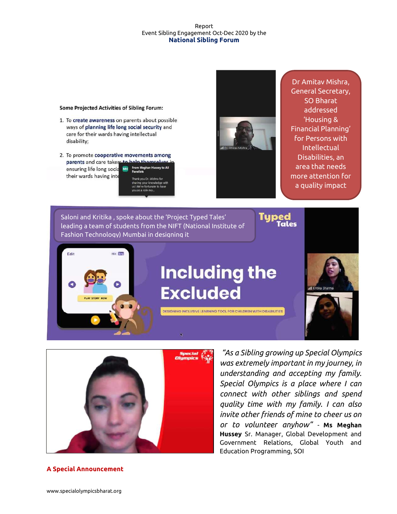#### Some Projected Activities of Sibling Forum:

- 1. To create awareness on parents about possible ways of planning life long social security and care for their wards having intellectual disability;
- 2. To promote cooperative movements among parents and care takers to n Me ensuring life long socia their wards having inte k you Dr. Mishra for

your knowledge with<br>e fortunate to have

![](_page_2_Picture_5.jpeg)

Dr Amitav Mishra, General Secretary, SO Bharat addressed 'Housing & Financial Planning' for Persons with Intellectual Disabilities, an area that needs more attention for a quality impact

Saloni and Kritika , spoke about the 'Project Typed Tales' leading a team of students from the NIFT (National Institute of Fashion Technology) Mumbai in designing it

![](_page_2_Picture_9.jpeg)

# **Including the Excluded**

DESIGNING INCLUSIVE LEARNING TOOL FOR CHILDREN WITH DISABILITIES

![](_page_2_Picture_11.jpeg)

![](_page_2_Picture_12.jpeg)

 "As a Sibling growing up Special Olympics was extremely important in my journey, in understanding and accepting my family. Special Olympics is a place where I can connect with other siblings and spend quality time with my family. I can also invite other friends of mine to cheer us on or to volunteer anyhow" - Ms Meghan Hussey Sr. Manager, Global Development and Government Relations, Global Youth and Education Programming, SOI

# A Special Announcement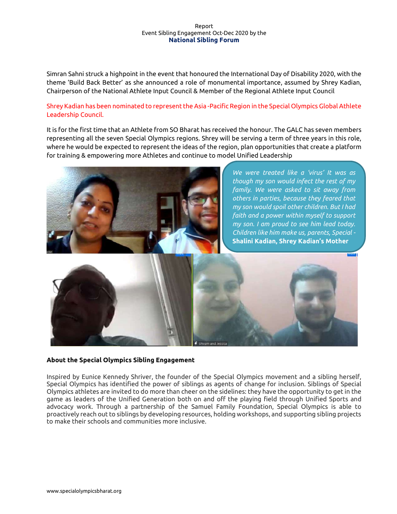Simran Sahni struck a highpoint in the event that honoured the International Day of Disability 2020, with the theme 'Build Back Better' as she announced a role of monumental importance, assumed by Shrey Kadian, Chairperson of the National Athlete Input Council & Member of the Regional Athlete Input Council

# Shrey Kadian has been nominated to represent the Asia -Pacific Region in the Special Olympics Global Athlete Leadership Council.

It is for the first time that an Athlete from SO Bharat has received the honour. The GALC has seven members representing all the seven Special Olympics regions. Shrey will be serving a term of three years in this role, where he would be expected to represent the ideas of the region, plan opportunities that create a platform for training & empowering more Athletes and continue to model Unified Leadership

![](_page_3_Picture_4.jpeg)

We were treated like a 'virus' It was as though my son would infect the rest of my family. We were asked to sit away from others in parties, because they feared that my son would spoil other children. But I had faith and a power within myself to support my son. I am proud to see him lead today. Children like him make us, parents, Special - Shalini Kadian, Shrey Kadian's Mother

![](_page_3_Picture_6.jpeg)

# About the Special Olympics Sibling Engagement

Inspired by Eunice Kennedy Shriver, the founder of the Special Olympics movement and a sibling herself, Special Olympics has identified the power of siblings as agents of change for inclusion. Siblings of Special Olympics athletes are invited to do more than cheer on the sidelines: they have the opportunity to get in the game as leaders of the Unified Generation both on and off the playing field through Unified Sports and advocacy work. Through a partnership of the Samuel Family Foundation, Special Olympics is able to proactively reach out to siblings by developing resources, holding workshops, and supporting sibling projects to make their schools and communities more inclusive.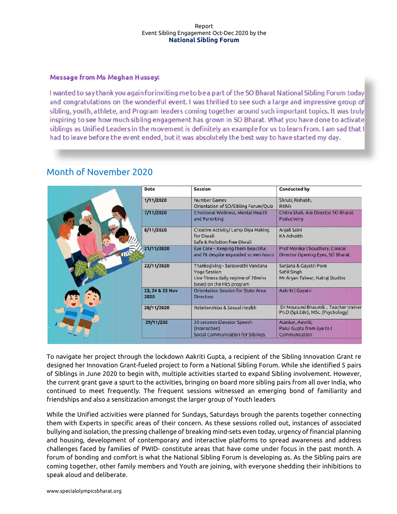# Message from Ms Meghan Hussey:

I wanted to say thank you again for inviting me to be a part of the SO Bharat National Sibling Forum today and congratulations on the wonderful event. I was thrilled to see such a large and impressive group of sibling, youth, athlete, and Program leaders coming together around such important topics. It was truly inspiring to see how much sibling engagement has grown in SO Bharat. What you have done to activate siblings as Unified Leaders in the movement is definitely an example for us to learn from. I am sad that I had to leave before the event ended, but it was absolutely the best way to have started my day.

| Date                    | Session                                                                                                               | Conducted by                                                             |
|-------------------------|-----------------------------------------------------------------------------------------------------------------------|--------------------------------------------------------------------------|
| 1/11/2020               | Number Games<br>Orientation of SO/Sibling Forum/Quiz                                                                  | Shruti, Rishabh,<br>Rithik                                               |
| 7/11/2020               | Emotional Wellness, Mental Health<br>and Parenting                                                                    | Chitra Shah, Are Director SO Bharat<br>Puducherry                        |
| 8/11/2020               | Creative Activity/ Lamp Diya Making<br>for Diwali<br>Safe & Pollution free Diwali                                     | Anjali Saini<br><b>KA Advaith</b>                                        |
| 21/11/2020              | Eye Care - Keeping them beautiful<br>and fit despite expanded screen hours                                            | Prof Monika Choudhary, Clinical<br>Director Opening Eyes, SO Bharat      |
| 22/11/2020              | Thanksgiving - Saraswathi Vandana<br>Yoga Session<br>Live fitness daily regime of 20mins<br>based on the Fit5 program | Sanjana & Gayatri Pore<br>Sahil Singh<br>Mr Aryan Talwar, Natraj Studios |
| 23, 24 & 25 Nov<br>2020 | Orientation Session for State Area<br><b>Directors</b>                                                                | Aakriti   Gayatri                                                        |
| 28/11/2020              | Relationships & Sexual Health                                                                                         | Dr Mousumi Bhaumik, Teacher trainer<br>Ph.D (Spl.Edn), MSc. (Psychology) |
| 29/11/202               | 30 seconds Elevator Speech<br>(Interaction)<br>Social Communication for Siblings                                      | Alankar, Aakriti,<br>Parul Gupta from Eye to I<br>Communication          |

# Month of November 2020

To navigate her project through the lockdown Aakriti Gupta, a recipient of the Sibling Innovation Grant re designed her Innovation Grant-fueled project to form a National Sibling Forum. While she identified 5 pairs of Siblings in June 2020 to begin with, multiple activities started to expand Sibling involvement. However, the current grant gave a spurt to the activities, bringing on board more sibling pairs from all over India, who continued to meet frequently. The frequent sessions witnessed an emerging bond of familiarity and friendships and also a sensitization amongst the larger group of Youth leaders

While the Unified activities were planned for Sundays, Saturdays brough the parents together connecting them with Experts in specific areas of their concern. As these sessions rolled out, instances of associated bullying and isolation, the pressing challenge of breaking mind-sets even today, urgency of financial planning and housing, development of contemporary and interactive platforms to spread awareness and address challenges faced by families of PWID- constitute areas that have come under focus in the past month. A forum of bonding and comfort is what the National Sibling Forum is developing as. As the Sibling pairs are coming together, other family members and Youth are joining, with everyone shedding their inhibitions to speak aloud and deliberate.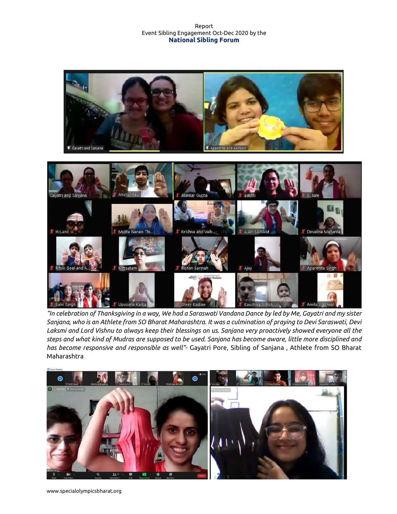![](_page_5_Picture_1.jpeg)

"In celebration of Thanksgiving in a way, We had a Saraswati Vandana Dance by led by Me, Gayatri and my sister Sanjana, who is an Athlete from SO Bharat Maharashtra. It was a culmination of praying to Devi Saraswati, Devi Laksmi and Lord Vishnu to always keep their blessings on us. Sanjana very proactively showed everyone all the steps and what kind of Mudras are supposed to be used. Sanjana has become aware, little more disciplined and has become responsive and responsible as well"- Gayatri Pore, Sibling of Sanjana, Athlete from SO Bharat Maharashtra

![](_page_5_Picture_3.jpeg)

www.specialolympicsbharat.org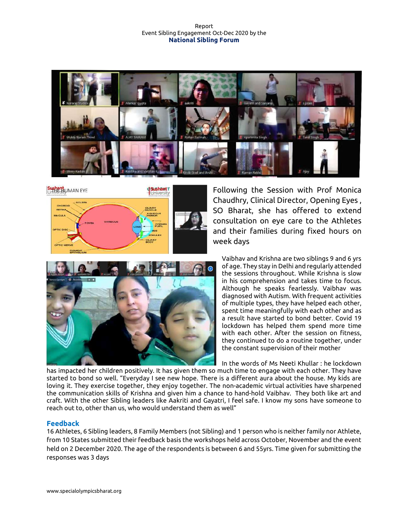![](_page_6_Picture_1.jpeg)

![](_page_6_Figure_2.jpeg)

Following the Session with Prof Monica Chaudhry, Clinical Director, Opening Eyes , SO Bharat, she has offered to extend consultation on eye care to the Athletes and their families during fixed hours on week days

![](_page_6_Picture_4.jpeg)

Vaibhav and Krishna are two siblings 9 and 6 yrs of age. They stay in Delhi and regularly attended the sessions throughout. While Krishna is slow in his comprehension and takes time to focus. Although he speaks fearlessly. Vaibhav was diagnosed with Autism. With frequent activities of multiple types, they have helped each other, spent time meaningfully with each other and as a result have started to bond better. Covid 19 lockdown has helped them spend more time with each other. After the session on fitness, they continued to do a routine together, under the constant supervision of their mother

In the words of Ms Neeti Khullar : he lockdown

has impacted her children positively. It has given them so much time to engage with each other. They have started to bond so well. "Everyday I see new hope. There is a different aura about the house. My kids are loving it. They exercise together, they enjoy together. The non-academic virtual activities have sharpened the communication skills of Krishna and given him a chance to hand-hold Vaibhav. They both like art and craft. With the other Sibling leaders like Aakriti and Gayatri, I feel safe. I know my sons have someone to reach out to, other than us, who would understand them as well"

# Feedback

16 Athletes, 6 Sibling leaders, 8 Family Members (not Sibling) and 1 person who is neither family nor Athlete, from 10 States submitted their feedback basis the workshops held across October, November and the event held on 2 December 2020. The age of the respondents is between 6 and 55yrs. Time given for submitting the responses was 3 days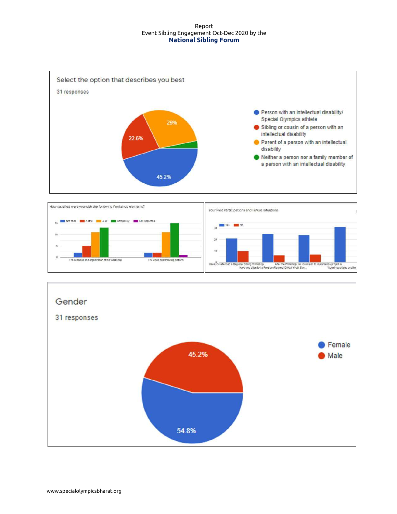![](_page_7_Figure_1.jpeg)

![](_page_7_Figure_2.jpeg)

![](_page_7_Figure_3.jpeg)